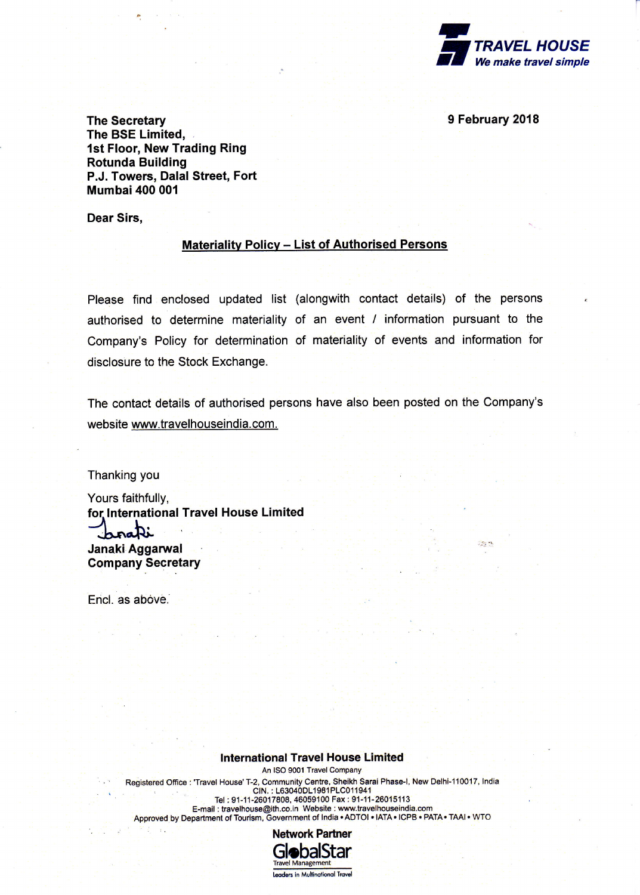

in n

The Secretary 2018 The BSE Limited, 1st Floor, New Trading Ring Rotunda Building P.J. Towers, Dalal Street, Fort **Mumbai 400 001** 

Dear Sirs,

## Materialitv Policv - List of Authorised Persons

Please find enclosed updated list (alongwith contact details) of the persons authorised to determine materiality of an event / information pursuant to the Company's Policy for determination of materiality of events and information for disclosure to the Stock Exchange.

The contact details of authorised persons have also been posted on the Company's website www.travelhouseindia.com.

Thanking you

Yours faithfully, for lnternational Travel House Limited brak: Janaki Aggarwal Company Secretary

Encl. as above.

 $\overline{T}$  .

## lnternational Travel House Limited

An ISO 9001 Travel Company Registered Office : 'Travel House' T-2, Community Centre, Sheikh Sarai Phase-I, New Delhi-110017, India<br>CIN. : L63040DL1981PLC011941 Tel : 91-11-26017808, 46059100 Fax ; 91-11-260<mark>1</mark>5113 E-mail : travelhouse@ith.co.in Website : www.travelhouseindia.com Approved by Department of Tourism, Government of India . ADTOI . IATA . ICPB . PATA. TAAI . WTO